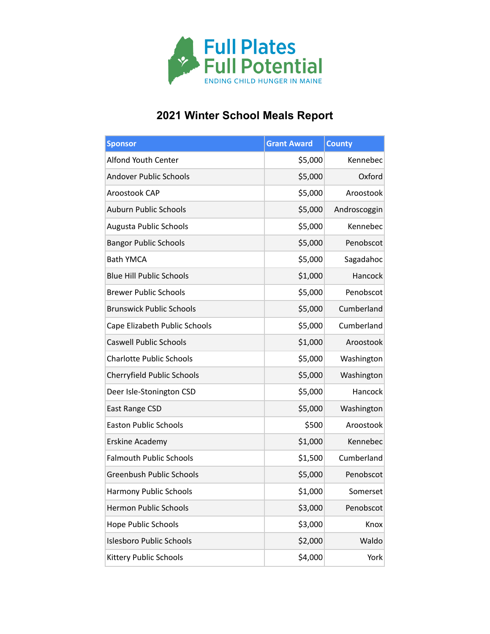

## **2021 Winter School Meals Report**

| <b>Sponsor</b>                  | <b>Grant Award</b> | <b>County</b> |
|---------------------------------|--------------------|---------------|
| Alfond Youth Center             | \$5,000            | Kennebec      |
| <b>Andover Public Schools</b>   | \$5,000            | Oxford        |
| Aroostook CAP                   | \$5,000            | Aroostook     |
| <b>Auburn Public Schools</b>    | \$5,000            | Androscoggin  |
| <b>Augusta Public Schools</b>   | \$5,000            | Kennebec      |
| <b>Bangor Public Schools</b>    | \$5,000            | Penobscot     |
| <b>Bath YMCA</b>                | \$5,000            | Sagadahoc     |
| <b>Blue Hill Public Schools</b> | \$1,000            | Hancock       |
| <b>Brewer Public Schools</b>    | \$5,000            | Penobscot     |
| <b>Brunswick Public Schools</b> | \$5,000            | Cumberland    |
| Cape Elizabeth Public Schools   | \$5,000            | Cumberland    |
| <b>Caswell Public Schools</b>   | \$1,000            | Aroostook     |
| <b>Charlotte Public Schools</b> | \$5,000            | Washington    |
| Cherryfield Public Schools      | \$5,000            | Washington    |
| Deer Isle-Stonington CSD        | \$5,000            | Hancock       |
| East Range CSD                  | \$5,000            | Washington    |
| <b>Easton Public Schools</b>    | \$500              | Aroostook     |
| Erskine Academy                 | \$1,000            | Kennebec      |
| <b>Falmouth Public Schools</b>  | \$1,500            | Cumberland    |
| <b>Greenbush Public Schools</b> | \$5,000            | Penobscot     |
| <b>Harmony Public Schools</b>   | \$1,000            | Somerset      |
| Hermon Public Schools           | \$3,000            | Penobscot     |
| <b>Hope Public Schools</b>      | \$3,000            | Knox          |
| <b>Islesboro Public Schools</b> | \$2,000            | Waldo         |
| Kittery Public Schools          | \$4,000            | York          |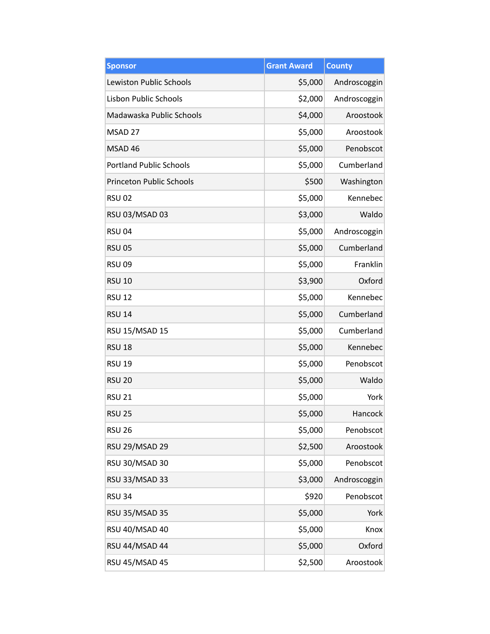| <b>Sponsor</b>                  | <b>Grant Award</b> | <b>County</b> |
|---------------------------------|--------------------|---------------|
| <b>Lewiston Public Schools</b>  | \$5,000            | Androscoggin  |
| <b>Lisbon Public Schools</b>    | \$2,000            | Androscoggin  |
| Madawaska Public Schools        | \$4,000            | Aroostook     |
| MSAD 27                         | \$5,000            | Aroostook     |
| MSAD 46                         | \$5,000            | Penobscot     |
| <b>Portland Public Schools</b>  | \$5,000            | Cumberland    |
| <b>Princeton Public Schools</b> | \$500              | Washington    |
| <b>RSU 02</b>                   | \$5,000            | Kennebec      |
| RSU 03/MSAD 03                  | \$3,000            | Waldo         |
| <b>RSU 04</b>                   | \$5,000            | Androscoggin  |
| <b>RSU 05</b>                   | \$5,000            | Cumberland    |
| <b>RSU 09</b>                   | \$5,000            | Franklin      |
| <b>RSU 10</b>                   | \$3,900            | Oxford        |
| <b>RSU 12</b>                   | \$5,000            | Kennebec      |
| <b>RSU 14</b>                   | \$5,000            | Cumberland    |
| RSU 15/MSAD 15                  | \$5,000            | Cumberland    |
| <b>RSU 18</b>                   | \$5,000            | Kennebec      |
| <b>RSU 19</b>                   | \$5,000            | Penobscot     |
| <b>RSU 20</b>                   | \$5,000            | Waldo         |
| <b>RSU 21</b>                   | \$5,000            | York          |
| <b>RSU 25</b>                   | \$5,000            | Hancock       |
| <b>RSU 26</b>                   | \$5,000            | Penobscot     |
| <b>RSU 29/MSAD 29</b>           | \$2,500            | Aroostook     |
| RSU 30/MSAD 30                  | \$5,000            | Penobscot     |
| <b>RSU 33/MSAD 33</b>           | \$3,000            | Androscoggin  |
| <b>RSU 34</b>                   | \$920              | Penobscot     |
| <b>RSU 35/MSAD 35</b>           | \$5,000            | York          |
| RSU 40/MSAD 40                  | \$5,000            | Knox          |
| RSU 44/MSAD 44                  | \$5,000            | Oxford        |
| RSU 45/MSAD 45                  | \$2,500            | Aroostook     |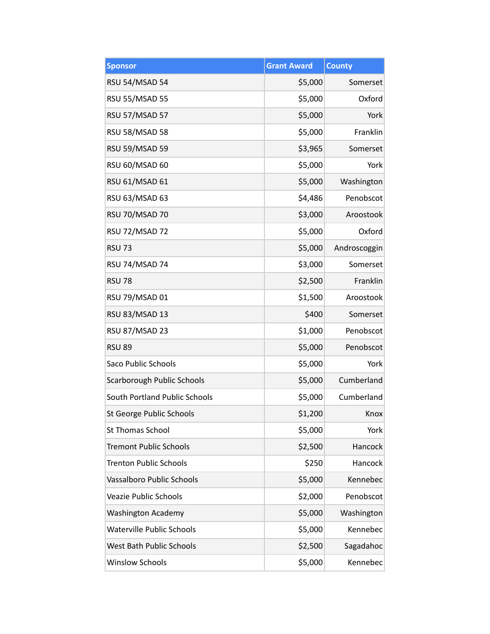| <b>Sponsor</b>                   | <b>Grant Award</b> | <b>County</b> |
|----------------------------------|--------------------|---------------|
| RSU 54/MSAD 54                   | \$5,000            | Somerset      |
| <b>RSU 55/MSAD 55</b>            | \$5,000            | Oxford        |
| RSU 57/MSAD 57                   | \$5,000            | York          |
| <b>RSU 58/MSAD 58</b>            | \$5,000            | Franklin      |
| <b>RSU 59/MSAD 59</b>            | \$3,965            | Somerset      |
| RSU 60/MSAD 60                   | \$5,000            | York          |
| <b>RSU 61/MSAD 61</b>            | \$5,000            | Washington    |
| RSU 63/MSAD 63                   | \$4,486            | Penobscot     |
| RSU 70/MSAD 70                   | \$3,000            | Aroostook     |
| <b>RSU 72/MSAD 72</b>            | \$5,000            | Oxford        |
| <b>RSU 73</b>                    | \$5,000            | Androscoggin  |
| RSU 74/MSAD 74                   | \$3,000            | Somerset      |
| <b>RSU 78</b>                    | \$2,500            | Franklin      |
| RSU 79/MSAD 01                   | \$1,500            | Aroostook     |
| RSU 83/MSAD 13                   | \$400              | Somerset      |
| RSU 87/MSAD 23                   | \$1,000            | Penobscot     |
| <b>RSU 89</b>                    | \$5,000            | Penobscot     |
| <b>Saco Public Schools</b>       | \$5,000            | York          |
| Scarborough Public Schools       | \$5,000            | Cumberland    |
| South Portland Public Schools    | \$5,000            | Cumberland    |
| St George Public Schools         | \$1,200            | Knox          |
| <b>St Thomas School</b>          | \$5,000            | York          |
| <b>Tremont Public Schools</b>    | \$2,500            | Hancock       |
| <b>Trenton Public Schools</b>    | \$250              | Hancock       |
| Vassalboro Public Schools        | \$5,000            | Kennebec      |
| <b>Veazie Public Schools</b>     | \$2,000            | Penobscot     |
| <b>Washington Academy</b>        | \$5,000            | Washington    |
| <b>Waterville Public Schools</b> | \$5,000            | Kennebec      |
| West Bath Public Schools         | \$2,500            | Sagadahoc     |
| <b>Winslow Schools</b>           | \$5,000            | Kennebec      |